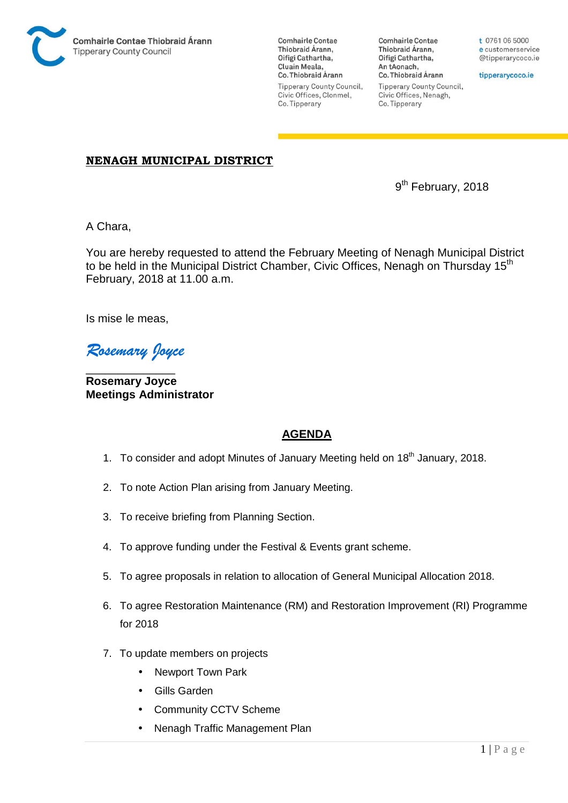

**Comhairle Contae** Thiobraid Árann, Oifigí Cathartha, Cluain Meala, Co. Thiobraid Árann Tipperary County Council, Civic Offices, Clonmel, Co. Tipperary

**Comhairle Contae** Thiobraid Árann, Oifigí Cathartha, An tAonach, Co. Thiobraid Árann **Tipperary County Council,** Civic Offices, Nenagh, Co. Tipperary

t 0761 06 5000 e customerservice @tipperarycoco.ie

tipperarycoco.ie

## **NENAGH MUNICIPAL DISTRICT**

9 9<sup>th</sup> February, 2018

A Chara,

You are hereby requested to attend the February Meeting of Nenagh Municipal District to be held in the Municipal District Chamber, Civic Offices, Nenagh on Thursday 15<sup>th</sup> February, 2018 at 11.00 a.m.

Is mise le meas,

*Rosemary Joyce* 

\_\_\_\_\_\_\_\_\_\_\_\_\_\_ **Rosemary Joyce Meetings Administrator** 

## **AGENDA**

- 1. To consider and adopt Minutes of January Meeting held on 18<sup>th</sup> January, 2018.
- 2. To note Action Plan arising from January Meeting.
- 3. To receive briefing from Planning Section.
- 4. To approve funding under the Festival & Events grant scheme.
- 5. To agree proposals in relation to allocation of General Municipal Allocation 2018.
- 6. To agree Restoration Maintenance (RM) and Restoration Improvement (RI) Programme for 2018
- 7. To update members on projects
	- Newport Town Park
	- Gills Garden
	- Community CCTV Scheme
	- Nenagh Traffic Management Plan